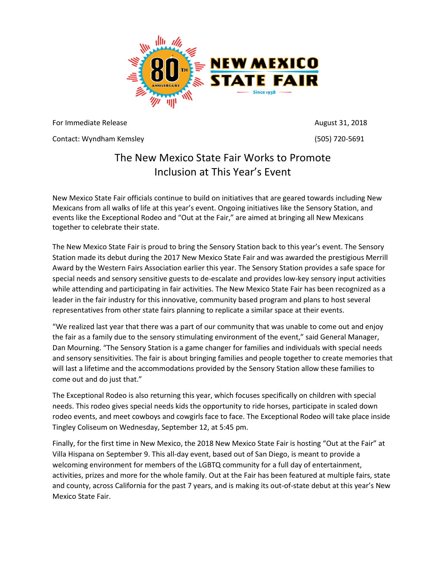

For Immediate Release August 31, 2018

Contact: Wyndham Kemsley (505) 720-5691

## The New Mexico State Fair Works to Promote Inclusion at This Year's Event

New Mexico State Fair officials continue to build on initiatives that are geared towards including New Mexicans from all walks of life at this year's event. Ongoing initiatives like the Sensory Station, and events like the Exceptional Rodeo and "Out at the Fair," are aimed at bringing all New Mexicans together to celebrate their state.

The New Mexico State Fair is proud to bring the Sensory Station back to this year's event. The Sensory Station made its debut during the 2017 New Mexico State Fair and was awarded the prestigious Merrill Award by the Western Fairs Association earlier this year. The Sensory Station provides a safe space for special needs and sensory sensitive guests to de-escalate and provides low-key sensory input activities while attending and participating in fair activities. The New Mexico State Fair has been recognized as a leader in the fair industry for this innovative, community based program and plans to host several representatives from other state fairs planning to replicate a similar space at their events.

"We realized last year that there was a part of our community that was unable to come out and enjoy the fair as a family due to the sensory stimulating environment of the event," said General Manager, Dan Mourning. "The Sensory Station is a game changer for families and individuals with special needs and sensory sensitivities. The fair is about bringing families and people together to create memories that will last a lifetime and the accommodations provided by the Sensory Station allow these families to come out and do just that."

The Exceptional Rodeo is also returning this year, which focuses specifically on children with special needs. This rodeo gives special needs kids the opportunity to ride horses, participate in scaled down rodeo events, and meet cowboys and cowgirls face to face. The Exceptional Rodeo will take place inside Tingley Coliseum on Wednesday, September 12, at 5:45 pm.

Finally, for the first time in New Mexico, the 2018 New Mexico State Fair is hosting "Out at the Fair" at Villa Hispana on September 9. This all-day event, based out of San Diego, is meant to provide a welcoming environment for members of the LGBTQ community for a full day of entertainment, activities, prizes and more for the whole family. Out at the Fair has been featured at multiple fairs, state and county, across California for the past 7 years, and is making its out-of-state debut at this year's New Mexico State Fair.